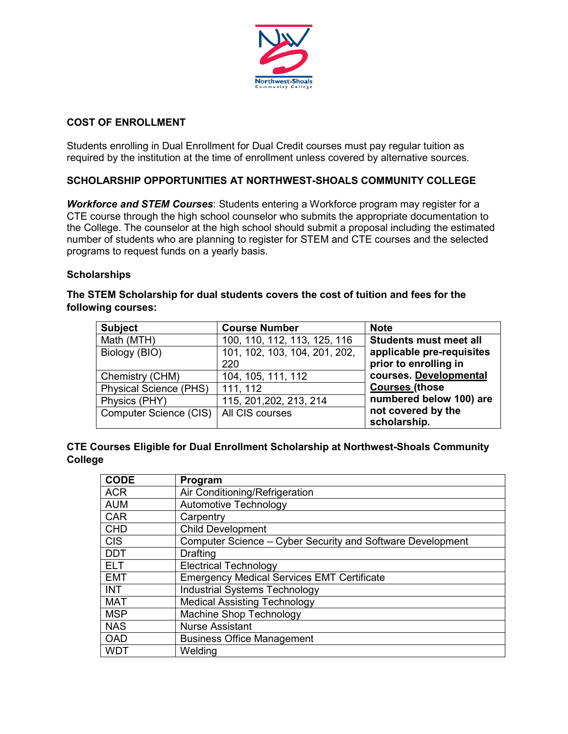

## **COST OF ENROLLMENT**

Students enrolling in Dual Enrollment for Dual Credit courses must pay regular tuition as required by the institution at the time of enrollment unless covered by alternative sources.

### **SCHOLARSHIP OPPORTUNITIES AT NORTHWEST-SHOALS COMMUNITY COLLEGE**

*Workforce and STEM Courses*: Students entering a Workforce program may register for a CTE course through the high school counselor who submits the appropriate documentation to the College. The counselor at the high school should submit a proposal including the estimated number of students who are planning to register for STEM and CTE courses and the selected programs to request funds on a yearly basis.

### **Scholarships**

| <b>Subject</b>                | <b>Course Number</b>          | <b>Note</b>                        |
|-------------------------------|-------------------------------|------------------------------------|
| Math (MTH)                    | 100, 110, 112, 113, 125, 116  | <b>Students must meet all</b>      |
| Biology (BIO)                 | 101, 102, 103, 104, 201, 202, | applicable pre-requisites          |
|                               | 220                           | prior to enrolling in              |
| Chemistry (CHM)               | 104, 105, 111, 112            | courses. Developmental             |
| <b>Physical Science (PHS)</b> | 111, 112                      | <b>Courses (those</b>              |
| Physics (PHY)                 | 115, 201, 202, 213, 214       | numbered below 100) are            |
| Computer Science (CIS)        | All CIS courses               | not covered by the<br>scholarship. |

#### **The STEM Scholarship for dual students covers the cost of tuition and fees for the following courses:**

**CTE Courses Eligible for Dual Enrollment Scholarship at Northwest-Shoals Community College**

| <b>CODE</b> | Program                                                    |
|-------------|------------------------------------------------------------|
| <b>ACR</b>  | Air Conditioning/Refrigeration                             |
| <b>AUM</b>  | <b>Automotive Technology</b>                               |
| <b>CAR</b>  | Carpentry                                                  |
| <b>CHD</b>  | <b>Child Development</b>                                   |
| <b>CIS</b>  | Computer Science – Cyber Security and Software Development |
| <b>DDT</b>  | <b>Drafting</b>                                            |
| <b>ELT</b>  | <b>Electrical Technology</b>                               |
| <b>EMT</b>  | <b>Emergency Medical Services EMT Certificate</b>          |
| <b>INT</b>  | <b>Industrial Systems Technology</b>                       |
| <b>MAT</b>  | <b>Medical Assisting Technology</b>                        |
| <b>MSP</b>  | Machine Shop Technology                                    |
| <b>NAS</b>  | <b>Nurse Assistant</b>                                     |
| <b>OAD</b>  | <b>Business Office Management</b>                          |
| <b>WDT</b>  | Welding                                                    |